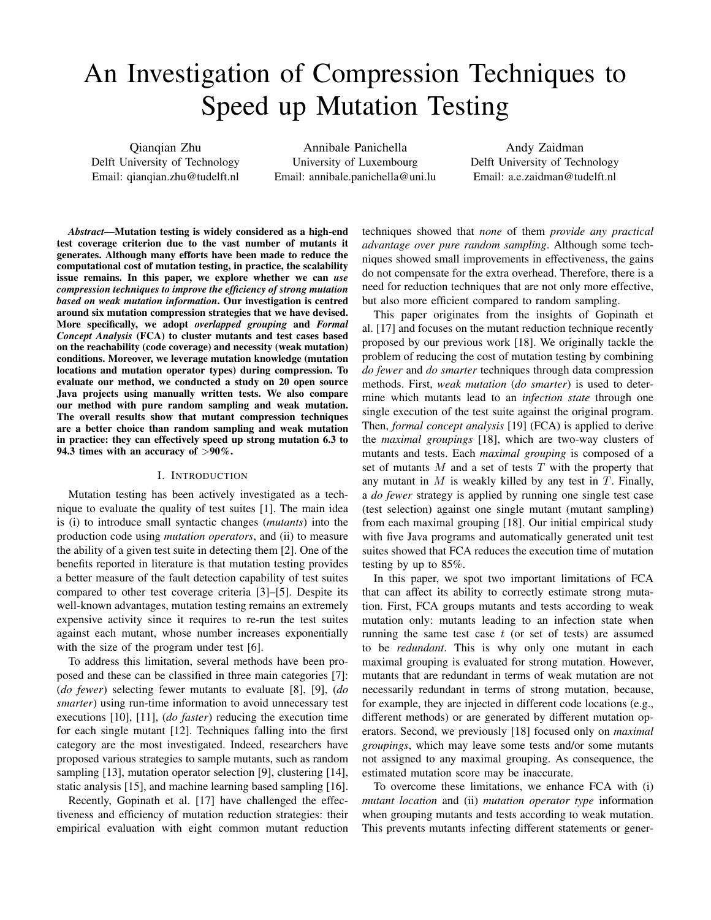# An Investigation of Compression Techniques to Speed up Mutation Testing

Qianqian Zhu Delft University of Technology Email: qianqian.zhu@tudelft.nl

Annibale Panichella University of Luxembourg Email: annibale.panichella@uni.lu

Andy Zaidman Delft University of Technology Email: a.e.zaidman@tudelft.nl

*Abstract*—Mutation testing is widely considered as a high-end test coverage criterion due to the vast number of mutants it generates. Although many efforts have been made to reduce the computational cost of mutation testing, in practice, the scalability issue remains. In this paper, we explore whether we can *use compression techniques to improve the efficiency of strong mutation based on weak mutation information*. Our investigation is centred around six mutation compression strategies that we have devised. More specifically, we adopt *overlapped grouping* and *Formal Concept Analysis* (FCA) to cluster mutants and test cases based on the reachability (code coverage) and necessity (weak mutation) conditions. Moreover, we leverage mutation knowledge (mutation locations and mutation operator types) during compression. To evaluate our method, we conducted a study on 20 open source Java projects using manually written tests. We also compare our method with pure random sampling and weak mutation. The overall results show that mutant compression techniques are a better choice than random sampling and weak mutation in practice: they can effectively speed up strong mutation 6.3 to 94.3 times with an accuracy of >90%.

## I. INTRODUCTION

Mutation testing has been actively investigated as a technique to evaluate the quality of test suites [1]. The main idea is (i) to introduce small syntactic changes (*mutants*) into the production code using *mutation operators*, and (ii) to measure the ability of a given test suite in detecting them [2]. One of the benefits reported in literature is that mutation testing provides a better measure of the fault detection capability of test suites compared to other test coverage criteria [3]–[5]. Despite its well-known advantages, mutation testing remains an extremely expensive activity since it requires to re-run the test suites against each mutant, whose number increases exponentially with the size of the program under test [6].

To address this limitation, several methods have been proposed and these can be classified in three main categories [7]: (*do fewer*) selecting fewer mutants to evaluate [8], [9], (*do smarter*) using run-time information to avoid unnecessary test executions [10], [11], (*do faster*) reducing the execution time for each single mutant [12]. Techniques falling into the first category are the most investigated. Indeed, researchers have proposed various strategies to sample mutants, such as random sampling [13], mutation operator selection [9], clustering [14], static analysis [15], and machine learning based sampling [16].

Recently, Gopinath et al. [17] have challenged the effectiveness and efficiency of mutation reduction strategies: their empirical evaluation with eight common mutant reduction techniques showed that *none* of them *provide any practical advantage over pure random sampling*. Although some techniques showed small improvements in effectiveness, the gains do not compensate for the extra overhead. Therefore, there is a need for reduction techniques that are not only more effective, but also more efficient compared to random sampling.

This paper originates from the insights of Gopinath et al. [17] and focuses on the mutant reduction technique recently proposed by our previous work [18]. We originally tackle the problem of reducing the cost of mutation testing by combining *do fewer* and *do smarter* techniques through data compression methods. First, *weak mutation* (*do smarter*) is used to determine which mutants lead to an *infection state* through one single execution of the test suite against the original program. Then, *formal concept analysis* [19] (FCA) is applied to derive the *maximal groupings* [18], which are two-way clusters of mutants and tests. Each *maximal grouping* is composed of a set of mutants  $M$  and a set of tests  $T$  with the property that any mutant in  $M$  is weakly killed by any test in  $T$ . Finally, a *do fewer* strategy is applied by running one single test case (test selection) against one single mutant (mutant sampling) from each maximal grouping [18]. Our initial empirical study with five Java programs and automatically generated unit test suites showed that FCA reduces the execution time of mutation testing by up to 85%.

In this paper, we spot two important limitations of FCA that can affect its ability to correctly estimate strong mutation. First, FCA groups mutants and tests according to weak mutation only: mutants leading to an infection state when running the same test case  $t$  (or set of tests) are assumed to be *redundant*. This is why only one mutant in each maximal grouping is evaluated for strong mutation. However, mutants that are redundant in terms of weak mutation are not necessarily redundant in terms of strong mutation, because, for example, they are injected in different code locations (e.g., different methods) or are generated by different mutation operators. Second, we previously [18] focused only on *maximal groupings*, which may leave some tests and/or some mutants not assigned to any maximal grouping. As consequence, the estimated mutation score may be inaccurate.

To overcome these limitations, we enhance FCA with (i) *mutant location* and (ii) *mutation operator type* information when grouping mutants and tests according to weak mutation. This prevents mutants infecting different statements or gener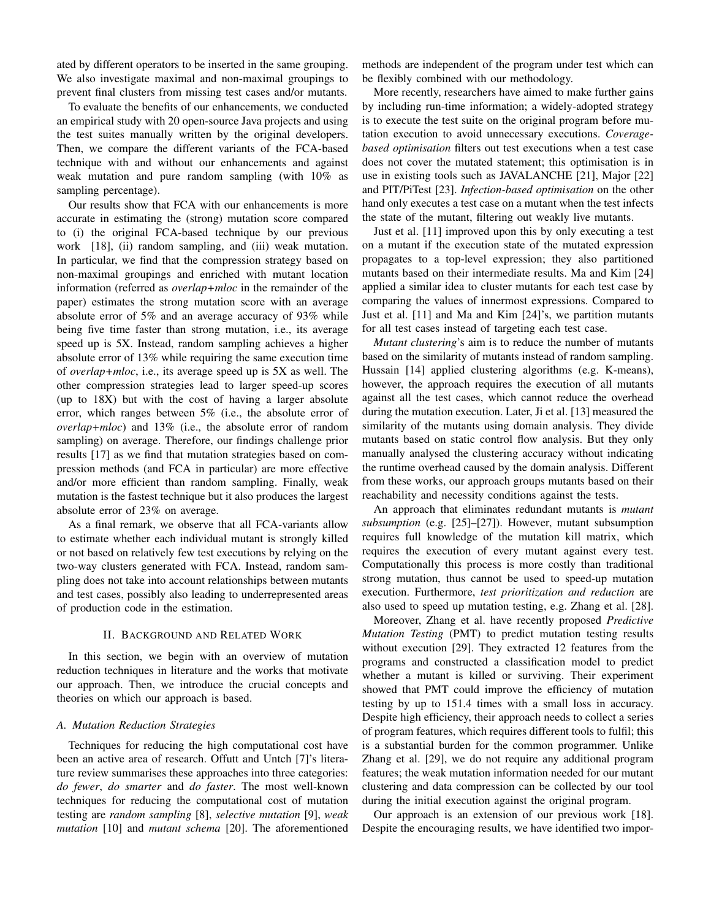ated by different operators to be inserted in the same grouping. We also investigate maximal and non-maximal groupings to prevent final clusters from missing test cases and/or mutants.

To evaluate the benefits of our enhancements, we conducted an empirical study with 20 open-source Java projects and using the test suites manually written by the original developers. Then, we compare the different variants of the FCA-based technique with and without our enhancements and against weak mutation and pure random sampling (with 10% as sampling percentage).

Our results show that FCA with our enhancements is more accurate in estimating the (strong) mutation score compared to (i) the original FCA-based technique by our previous work [18], (ii) random sampling, and (iii) weak mutation. In particular, we find that the compression strategy based on non-maximal groupings and enriched with mutant location information (referred as *overlap+mloc* in the remainder of the paper) estimates the strong mutation score with an average absolute error of 5% and an average accuracy of 93% while being five time faster than strong mutation, i.e., its average speed up is 5X. Instead, random sampling achieves a higher absolute error of 13% while requiring the same execution time of *overlap+mloc*, i.e., its average speed up is 5X as well. The other compression strategies lead to larger speed-up scores (up to 18X) but with the cost of having a larger absolute error, which ranges between 5% (i.e., the absolute error of *overlap+mloc*) and 13% (i.e., the absolute error of random sampling) on average. Therefore, our findings challenge prior results [17] as we find that mutation strategies based on compression methods (and FCA in particular) are more effective and/or more efficient than random sampling. Finally, weak mutation is the fastest technique but it also produces the largest absolute error of 23% on average.

As a final remark, we observe that all FCA-variants allow to estimate whether each individual mutant is strongly killed or not based on relatively few test executions by relying on the two-way clusters generated with FCA. Instead, random sampling does not take into account relationships between mutants and test cases, possibly also leading to underrepresented areas of production code in the estimation.

#### II. BACKGROUND AND RELATED WORK

In this section, we begin with an overview of mutation reduction techniques in literature and the works that motivate our approach. Then, we introduce the crucial concepts and theories on which our approach is based.

## *A. Mutation Reduction Strategies*

Techniques for reducing the high computational cost have been an active area of research. Offutt and Untch [7]'s literature review summarises these approaches into three categories: *do fewer*, *do smarter* and *do faster*. The most well-known techniques for reducing the computational cost of mutation testing are *random sampling* [8], *selective mutation* [9], *weak mutation* [10] and *mutant schema* [20]. The aforementioned

methods are independent of the program under test which can be flexibly combined with our methodology.

More recently, researchers have aimed to make further gains by including run-time information; a widely-adopted strategy is to execute the test suite on the original program before mutation execution to avoid unnecessary executions. *Coveragebased optimisation* filters out test executions when a test case does not cover the mutated statement; this optimisation is in use in existing tools such as JAVALANCHE [21], Major [22] and PIT/PiTest [23]. *Infection-based optimisation* on the other hand only executes a test case on a mutant when the test infects the state of the mutant, filtering out weakly live mutants.

Just et al. [11] improved upon this by only executing a test on a mutant if the execution state of the mutated expression propagates to a top-level expression; they also partitioned mutants based on their intermediate results. Ma and Kim [24] applied a similar idea to cluster mutants for each test case by comparing the values of innermost expressions. Compared to Just et al. [11] and Ma and Kim [24]'s, we partition mutants for all test cases instead of targeting each test case.

*Mutant clustering*'s aim is to reduce the number of mutants based on the similarity of mutants instead of random sampling. Hussain [14] applied clustering algorithms (e.g. K-means), however, the approach requires the execution of all mutants against all the test cases, which cannot reduce the overhead during the mutation execution. Later, Ji et al. [13] measured the similarity of the mutants using domain analysis. They divide mutants based on static control flow analysis. But they only manually analysed the clustering accuracy without indicating the runtime overhead caused by the domain analysis. Different from these works, our approach groups mutants based on their reachability and necessity conditions against the tests.

An approach that eliminates redundant mutants is *mutant subsumption* (e.g. [25]–[27]). However, mutant subsumption requires full knowledge of the mutation kill matrix, which requires the execution of every mutant against every test. Computationally this process is more costly than traditional strong mutation, thus cannot be used to speed-up mutation execution. Furthermore, *test prioritization and reduction* are also used to speed up mutation testing, e.g. Zhang et al. [28].

Moreover, Zhang et al. have recently proposed *Predictive Mutation Testing* (PMT) to predict mutation testing results without execution [29]. They extracted 12 features from the programs and constructed a classification model to predict whether a mutant is killed or surviving. Their experiment showed that PMT could improve the efficiency of mutation testing by up to 151.4 times with a small loss in accuracy. Despite high efficiency, their approach needs to collect a series of program features, which requires different tools to fulfil; this is a substantial burden for the common programmer. Unlike Zhang et al. [29], we do not require any additional program features; the weak mutation information needed for our mutant clustering and data compression can be collected by our tool during the initial execution against the original program.

Our approach is an extension of our previous work [18]. Despite the encouraging results, we have identified two impor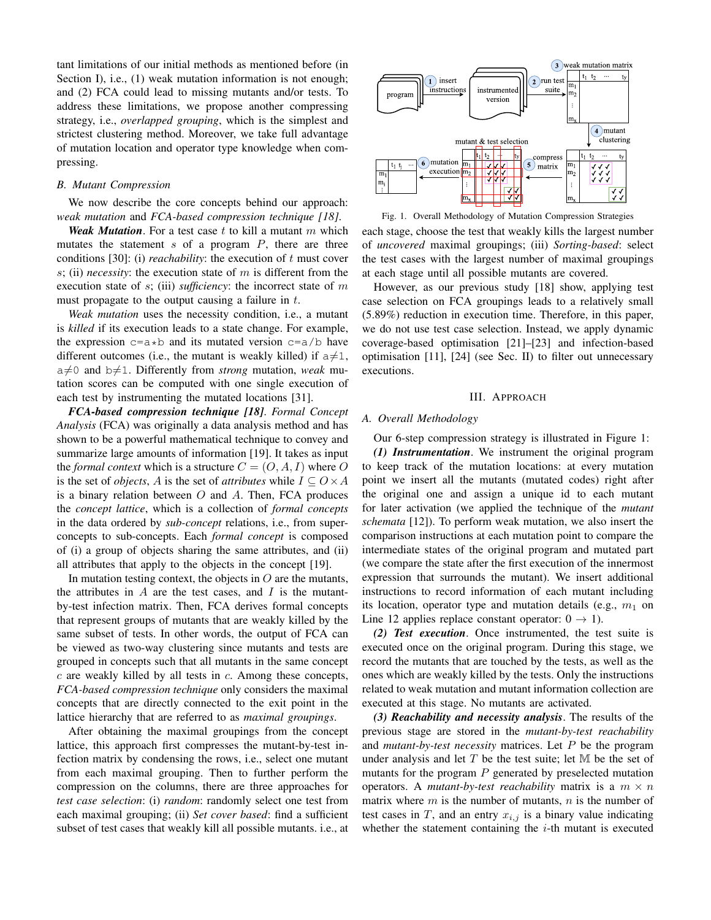tant limitations of our initial methods as mentioned before (in Section I), i.e., (1) weak mutation information is not enough; and (2) FCA could lead to missing mutants and/or tests. To address these limitations, we propose another compressing strategy, i.e., *overlapped grouping*, which is the simplest and strictest clustering method. Moreover, we take full advantage of mutation location and operator type knowledge when compressing.

## *B. Mutant Compression*

We now describe the core concepts behind our approach: *weak mutation* and *FCA-based compression technique [18]*.

**Weak Mutation.** For a test case  $t$  to kill a mutant  $m$  which mutates the statement s of a program  $P$ , there are three conditions [30]: (i) *reachability*: the execution of t must cover s; (ii) *necessity*: the execution state of m is different from the execution state of s; (iii) *sufficiency*: the incorrect state of m must propagate to the output causing a failure in  $t$ .

*Weak mutation* uses the necessity condition, i.e., a mutant is *killed* if its execution leads to a state change. For example, the expression  $c=a*b$  and its mutated version  $c=a/b$  have different outcomes (i.e., the mutant is weakly killed) if  $a \neq 1$ ,  $a \neq 0$  and  $b \neq 1$ . Differently from *strong* mutation, *weak* mutation scores can be computed with one single execution of each test by instrumenting the mutated locations [31].

*FCA-based compression technique [18]*. *Formal Concept Analysis* (FCA) was originally a data analysis method and has shown to be a powerful mathematical technique to convey and summarize large amounts of information [19]. It takes as input the *formal context* which is a structure  $C = (O, A, I)$  where O is the set of *objects*, A is the set of *attributes* while  $I \subseteq O \times A$ is a binary relation between  $O$  and  $A$ . Then, FCA produces the *concept lattice*, which is a collection of *formal concepts* in the data ordered by *sub-concept* relations, i.e., from superconcepts to sub-concepts. Each *formal concept* is composed of (i) a group of objects sharing the same attributes, and (ii) all attributes that apply to the objects in the concept [19].

In mutation testing context, the objects in  $O$  are the mutants, the attributes in  $A$  are the test cases, and  $I$  is the mutantby-test infection matrix. Then, FCA derives formal concepts that represent groups of mutants that are weakly killed by the same subset of tests. In other words, the output of FCA can be viewed as two-way clustering since mutants and tests are grouped in concepts such that all mutants in the same concept  $c$  are weakly killed by all tests in  $c$ . Among these concepts, *FCA-based compression technique* only considers the maximal concepts that are directly connected to the exit point in the lattice hierarchy that are referred to as *maximal groupings*.

After obtaining the maximal groupings from the concept lattice, this approach first compresses the mutant-by-test infection matrix by condensing the rows, i.e., select one mutant from each maximal grouping. Then to further perform the compression on the columns, there are three approaches for *test case selection*: (i) *random*: randomly select one test from each maximal grouping; (ii) *Set cover based*: find a sufficient subset of test cases that weakly kill all possible mutants. i.e., at



Fig. 1. Overall Methodology of Mutation Compression Strategies

each stage, choose the test that weakly kills the largest number of *uncovered* maximal groupings; (iii) *Sorting-based*: select the test cases with the largest number of maximal groupings at each stage until all possible mutants are covered.

However, as our previous study [18] show, applying test case selection on FCA groupings leads to a relatively small (5.89%) reduction in execution time. Therefore, in this paper, we do not use test case selection. Instead, we apply dynamic coverage-based optimisation [21]–[23] and infection-based optimisation [11], [24] (see Sec. II) to filter out unnecessary executions.

#### III. APPROACH

# *A. Overall Methodology*

Our 6-step compression strategy is illustrated in Figure 1:

*(1) Instrumentation*. We instrument the original program to keep track of the mutation locations: at every mutation point we insert all the mutants (mutated codes) right after the original one and assign a unique id to each mutant for later activation (we applied the technique of the *mutant schemata* [12]). To perform weak mutation, we also insert the comparison instructions at each mutation point to compare the intermediate states of the original program and mutated part (we compare the state after the first execution of the innermost expression that surrounds the mutant). We insert additional instructions to record information of each mutant including its location, operator type and mutation details (e.g.,  $m_1$  on Line 12 applies replace constant operator:  $0 \rightarrow 1$ ).

*(2) Test execution*. Once instrumented, the test suite is executed once on the original program. During this stage, we record the mutants that are touched by the tests, as well as the ones which are weakly killed by the tests. Only the instructions related to weak mutation and mutant information collection are executed at this stage. No mutants are activated.

*(3) Reachability and necessity analysis*. The results of the previous stage are stored in the *mutant-by-test reachability* and *mutant-by-test necessity* matrices. Let P be the program under analysis and let  $T$  be the test suite; let M be the set of mutants for the program  $P$  generated by preselected mutation operators. A *mutant-by-test reachability* matrix is a  $m \times n$ matrix where  $m$  is the number of mutants,  $n$  is the number of test cases in  $T$ , and an entry  $x_{i,j}$  is a binary value indicating whether the statement containing the  $i$ -th mutant is executed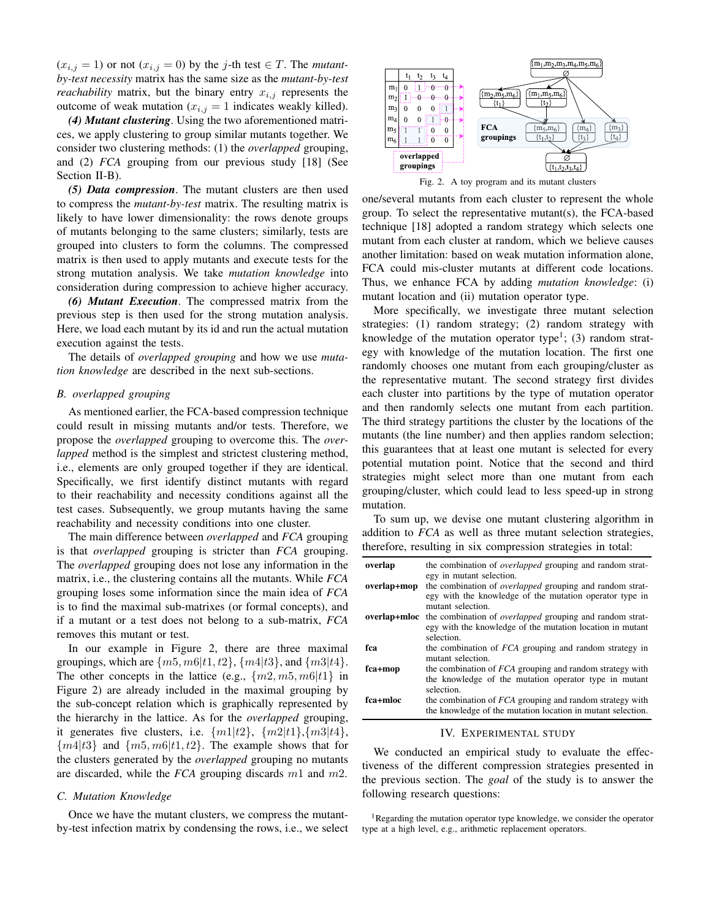$(x_{i,j} = 1)$  or not  $(x_{i,j} = 0)$  by the *j*-th test  $\in T$ . The *mutantby-test necessity* matrix has the same size as the *mutant-by-test reachability* matrix, but the binary entry  $x_{i,j}$  represents the outcome of weak mutation  $(x_{i,j} = 1$  indicates weakly killed).

*(4) Mutant clustering*. Using the two aforementioned matrices, we apply clustering to group similar mutants together. We consider two clustering methods: (1) the *overlapped* grouping, and (2) *FCA* grouping from our previous study [18] (See Section II-B).

*(5) Data compression*. The mutant clusters are then used to compress the *mutant-by-test* matrix. The resulting matrix is likely to have lower dimensionality: the rows denote groups of mutants belonging to the same clusters; similarly, tests are grouped into clusters to form the columns. The compressed matrix is then used to apply mutants and execute tests for the strong mutation analysis. We take *mutation knowledge* into consideration during compression to achieve higher accuracy.

*(6) Mutant Execution*. The compressed matrix from the previous step is then used for the strong mutation analysis. Here, we load each mutant by its id and run the actual mutation execution against the tests.

The details of *overlapped grouping* and how we use *mutation knowledge* are described in the next sub-sections.

#### *B. overlapped grouping*

As mentioned earlier, the FCA-based compression technique could result in missing mutants and/or tests. Therefore, we propose the *overlapped* grouping to overcome this. The *overlapped* method is the simplest and strictest clustering method, i.e., elements are only grouped together if they are identical. Specifically, we first identify distinct mutants with regard to their reachability and necessity conditions against all the test cases. Subsequently, we group mutants having the same reachability and necessity conditions into one cluster.

The main difference between *overlapped* and *FCA* grouping is that *overlapped* grouping is stricter than *FCA* grouping. The *overlapped* grouping does not lose any information in the matrix, i.e., the clustering contains all the mutants. While *FCA* grouping loses some information since the main idea of *FCA* is to find the maximal sub-matrixes (or formal concepts), and if a mutant or a test does not belong to a sub-matrix, *FCA* removes this mutant or test.

In our example in Figure 2, there are three maximal groupings, which are  $\{m5, m6|t1, t2\}$ ,  $\{m4|t3\}$ , and  $\{m3|t4\}$ . The other concepts in the lattice (e.g.,  $\{m2, m5, m6|t1\}$  in Figure 2) are already included in the maximal grouping by the sub-concept relation which is graphically represented by the hierarchy in the lattice. As for the *overlapped* grouping, it generates five clusters, i.e.  $\{m1|t2\}$ ,  $\{m2|t1\}$ ,  $\{m3|t4\}$ ,  ${m4|t3}$  and  ${m5,m6|t1,t2}$ . The example shows that for the clusters generated by the *overlapped* grouping no mutants are discarded, while the *FCA* grouping discards m1 and m2.

# *C. Mutation Knowledge*

Once we have the mutant clusters, we compress the mutantby-test infection matrix by condensing the rows, i.e., we select



Fig. 2. A toy program and its mutant clusters

one/several mutants from each cluster to represent the whole group. To select the representative mutant(s), the FCA-based technique [18] adopted a random strategy which selects one mutant from each cluster at random, which we believe causes another limitation: based on weak mutation information alone, FCA could mis-cluster mutants at different code locations. Thus, we enhance FCA by adding *mutation knowledge*: (i) mutant location and (ii) mutation operator type.

More specifically, we investigate three mutant selection strategies: (1) random strategy; (2) random strategy with knowledge of the mutation operator type<sup>1</sup>; (3) random strategy with knowledge of the mutation location. The first one randomly chooses one mutant from each grouping/cluster as the representative mutant. The second strategy first divides each cluster into partitions by the type of mutation operator and then randomly selects one mutant from each partition. The third strategy partitions the cluster by the locations of the mutants (the line number) and then applies random selection; this guarantees that at least one mutant is selected for every potential mutation point. Notice that the second and third strategies might select more than one mutant from each grouping/cluster, which could lead to less speed-up in strong mutation.

To sum up, we devise one mutant clustering algorithm in addition to *FCA* as well as three mutant selection strategies, therefore, resulting in six compression strategies in total:

| overlap      | the combination of <i>overlapped</i> grouping and random strat-                                                                                        |
|--------------|--------------------------------------------------------------------------------------------------------------------------------------------------------|
| overlap+mop  | egy in mutant selection.<br>the combination of <i>overlapped</i> grouping and random strat-<br>egy with the knowledge of the mutation operator type in |
| overlap+mloc | mutant selection.<br>the combination of <i>overlapped</i> grouping and random strat-<br>egy with the knowledge of the mutation location in mutant      |
| fca          | selection.<br>the combination of FCA grouping and random strategy in<br>mutant selection.                                                              |
| fca+mop      | the combination of FCA grouping and random strategy with<br>the knowledge of the mutation operator type in mutant<br>selection.                        |
| fca+mloc     | the combination of FCA grouping and random strategy with<br>the knowledge of the mutation location in mutant selection.                                |

## IV. EXPERIMENTAL STUDY

We conducted an empirical study to evaluate the effectiveness of the different compression strategies presented in the previous section. The *goal* of the study is to answer the following research questions:

<sup>&</sup>lt;sup>1</sup>Regarding the mutation operator type knowledge, we consider the operator type at a high level, e.g., arithmetic replacement operators.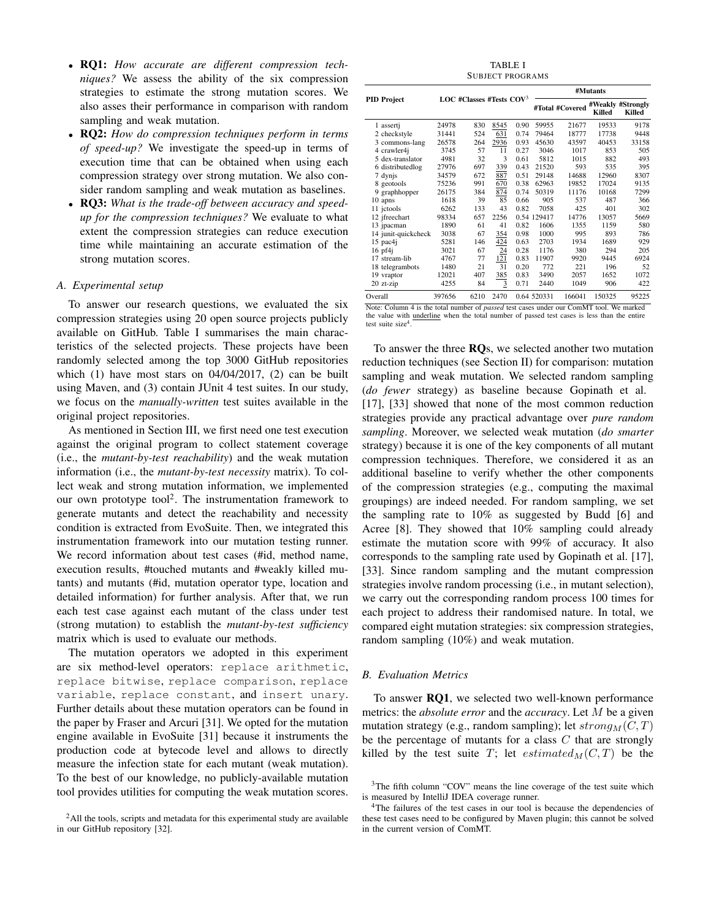- RQ1: *How accurate are different compression techniques?* We assess the ability of the six compression strategies to estimate the strong mutation scores. We also asses their performance in comparison with random sampling and weak mutation.
- RQ2: *How do compression techniques perform in terms of speed-up?* We investigate the speed-up in terms of execution time that can be obtained when using each compression strategy over strong mutation. We also consider random sampling and weak mutation as baselines.
- RQ3: *What is the trade-off between accuracy and speedup for the compression techniques?* We evaluate to what extent the compression strategies can reduce execution time while maintaining an accurate estimation of the strong mutation scores.

## *A. Experimental setup*

To answer our research questions, we evaluated the six compression strategies using 20 open source projects publicly available on GitHub. Table I summarises the main characteristics of the selected projects. These projects have been randomly selected among the top 3000 GitHub repositories which  $(1)$  have most stars on  $04/04/2017$ ,  $(2)$  can be built using Maven, and (3) contain JUnit 4 test suites. In our study, we focus on the *manually-written* test suites available in the original project repositories.

As mentioned in Section III, we first need one test execution against the original program to collect statement coverage (i.e., the *mutant-by-test reachability*) and the weak mutation information (i.e., the *mutant-by-test necessity* matrix). To collect weak and strong mutation information, we implemented our own prototype tool<sup>2</sup>. The instrumentation framework to generate mutants and detect the reachability and necessity condition is extracted from EvoSuite. Then, we integrated this instrumentation framework into our mutation testing runner. We record information about test cases (#id, method name, execution results, #touched mutants and #weakly killed mutants) and mutants (#id, mutation operator type, location and detailed information) for further analysis. After that, we run each test case against each mutant of the class under test (strong mutation) to establish the *mutant-by-test sufficiency* matrix which is used to evaluate our methods.

The mutation operators we adopted in this experiment are six method-level operators: replace arithmetic, replace bitwise, replace comparison, replace variable, replace constant, and insert unary. Further details about these mutation operators can be found in the paper by Fraser and Arcuri [31]. We opted for the mutation engine available in EvoSuite [31] because it instruments the production code at bytecode level and allows to directly measure the infection state for each mutant (weak mutation). To the best of our knowledge, no publicly-available mutation tool provides utilities for computing the weak mutation scores.

TABLE I SUBJECT PROGRAMS

|                     |        |                            |      |      | #Mutants    |                 |        |                                    |  |  |
|---------------------|--------|----------------------------|------|------|-------------|-----------------|--------|------------------------------------|--|--|
| <b>PID Project</b>  |        | LOC #Classes #Tests $COV3$ |      |      |             | #Total #Covered | Killed | #Weakly #Strongly<br><b>Killed</b> |  |  |
| 1 asserti           | 24978  | 830                        | 8545 | 0.90 | 59955       | 21677           | 19533  | 9178                               |  |  |
| 2 checkstyle        | 31441  | 524                        | 631  | 0.74 | 79464       | 18777           | 17738  | 9448                               |  |  |
| 3 commons-lang      | 26578  | 264                        | 2936 | 0.93 | 45630       | 43597           | 40453  | 33158                              |  |  |
| 4 crawler4j         | 3745   | 57                         | 11   | 0.27 | 3046        | 1017            | 853    | 505                                |  |  |
| 5 dex-translator    | 4981   | 32                         | 3    | 0.61 | 5812        | 1015            | 882    | 493                                |  |  |
| 6 distributedlog    | 27976  | 697                        | 339  | 0.43 | 21520       | 593             | 535    | 395                                |  |  |
| 7 dynjs             | 34579  | 672                        | 887  | 0.51 | 29148       | 14688           | 12960  | 8307                               |  |  |
| 8 geotools          | 75236  | 991                        | 670  | 0.38 | 62963       | 19852           | 17024  | 9135                               |  |  |
| graphhopper         | 26175  | 384                        | 874  | 0.74 | 50319       | 11176           | 10168  | 7299                               |  |  |
| 10 apns             | 1618   | 39                         | 85   | 0.66 | 905         | 537             | 487    | 366                                |  |  |
| 11 jctools          | 6262   | 133                        | 43   | 0.82 | 7058        | 425             | 401    | 302                                |  |  |
| 12 jfreechart       | 98334  | 657                        | 2256 |      | 0.54 129417 | 14776           | 13057  | 5669                               |  |  |
| 13 jpacman          | 1890   | 61                         | 41   | 0.82 | 1606        | 1355            | 1159   | 580                                |  |  |
| 14 junit-quickcheck | 3038   | 67                         | 354  | 0.98 | 1000        | 995             | 893    | 786                                |  |  |
| $15$ pac $4i$       | 5281   | 146                        | 424  | 0.63 | 2703        | 1934            | 1689   | 929                                |  |  |
| $16$ pf4 $i$        | 3021   | 67                         | 24   | 0.28 | 1176        | 380             | 294    | 205                                |  |  |
| 17 stream-lib       | 4767   | 77                         | 121  | 0.83 | 11907       | 9920            | 9445   | 6924                               |  |  |
| 18 telegrambots     | 1480   | 21                         | 31   | 0.20 | 772         | 221             | 196    | 52                                 |  |  |
| 19 vraptor          | 12021  | 407                        | 385  | 0.83 | 3490        | 2057            | 1652   | 1072                               |  |  |
| $20$ zt-zip         | 4255   | 84                         | 3    | 0.71 | 2440        | 1049            | 906    | 422                                |  |  |
| Overall             | 397656 | 6210                       | 2470 |      | 0.64 520331 | 166041          | 150325 | 95225                              |  |  |

Note: Column 4 is the total number of *passed* test cases under our ComMT tool. We marked the value with *underline* when the total number of passed test cases is less than the entire test suite size<sup>4</sup> .

To answer the three RQs, we selected another two mutation reduction techniques (see Section II) for comparison: mutation sampling and weak mutation. We selected random sampling (*do fewer* strategy) as baseline because Gopinath et al. [17], [33] showed that none of the most common reduction strategies provide any practical advantage over *pure random sampling*. Moreover, we selected weak mutation (*do smarter* strategy) because it is one of the key components of all mutant compression techniques. Therefore, we considered it as an additional baseline to verify whether the other components of the compression strategies (e.g., computing the maximal groupings) are indeed needed. For random sampling, we set the sampling rate to 10% as suggested by Budd [6] and Acree [8]. They showed that 10% sampling could already estimate the mutation score with 99% of accuracy. It also corresponds to the sampling rate used by Gopinath et al. [17], [33]. Since random sampling and the mutant compression strategies involve random processing (i.e., in mutant selection), we carry out the corresponding random process 100 times for each project to address their randomised nature. In total, we compared eight mutation strategies: six compression strategies, random sampling (10%) and weak mutation.

#### *B. Evaluation Metrics*

To answer RQ1, we selected two well-known performance metrics: the *absolute error* and the *accuracy*. Let M be a given mutation strategy (e.g., random sampling); let  $strong_M(C, T)$ be the percentage of mutants for a class  $C$  that are strongly killed by the test suite T; let  $estimated_M(C, T)$  be the

 $2$ All the tools, scripts and metadata for this experimental study are available in our GitHub repository [32].

<sup>&</sup>lt;sup>3</sup>The fifth column "COV" means the line coverage of the test suite which is measured by IntelliJ IDEA coverage runner.

<sup>&</sup>lt;sup>4</sup>The failures of the test cases in our tool is because the dependencies of these test cases need to be configured by Maven plugin; this cannot be solved in the current version of ComMT.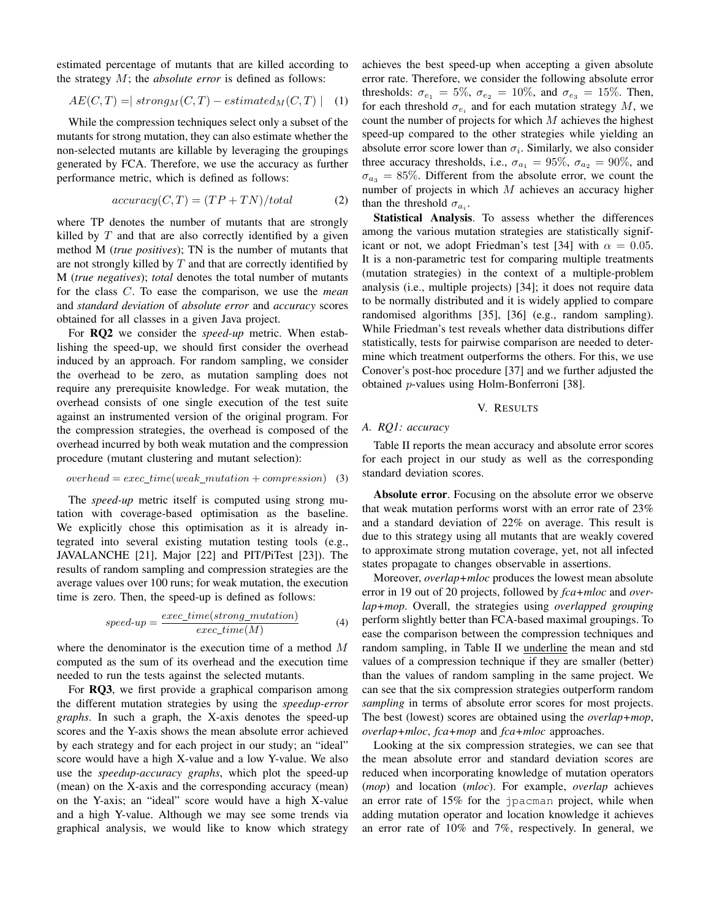estimated percentage of mutants that are killed according to the strategy M; the *absolute error* is defined as follows:

$$
AE(C, T) = | \text{ strong}_M(C, T) - \text{estimated}_M(C, T) | \quad (1)
$$

While the compression techniques select only a subset of the mutants for strong mutation, they can also estimate whether the non-selected mutants are killable by leveraging the groupings generated by FCA. Therefore, we use the accuracy as further performance metric, which is defined as follows:

$$
accuracy(C, T) = (TP + TN)/total
$$
 (2)

where TP denotes the number of mutants that are strongly killed by  $T$  and that are also correctly identified by a given method M (*true positives*); TN is the number of mutants that are not strongly killed by  $T$  and that are correctly identified by M (*true negatives*); *total* denotes the total number of mutants for the class C. To ease the comparison, we use the *mean* and *standard deviation* of *absolute error* and *accuracy* scores obtained for all classes in a given Java project.

For RQ2 we consider the *speed-up* metric. When establishing the speed-up, we should first consider the overhead induced by an approach. For random sampling, we consider the overhead to be zero, as mutation sampling does not require any prerequisite knowledge. For weak mutation, the overhead consists of one single execution of the test suite against an instrumented version of the original program. For the compression strategies, the overhead is composed of the overhead incurred by both weak mutation and the compression procedure (mutant clustering and mutant selection):

$$
overhead = exec\_time(weak\_mutation + compression)
$$
 (3)

The *speed-up* metric itself is computed using strong mutation with coverage-based optimisation as the baseline. We explicitly chose this optimisation as it is already integrated into several existing mutation testing tools (e.g., JAVALANCHE [21], Major [22] and PIT/PiTest [23]). The results of random sampling and compression strategies are the average values over 100 runs; for weak mutation, the execution time is zero. Then, the speed-up is defined as follows:

$$
speed-up = \frac{exec\_time(strong\_mutation)}{exec\_time(M)} \tag{4}
$$

where the denominator is the execution time of a method M computed as the sum of its overhead and the execution time needed to run the tests against the selected mutants.

For RQ3, we first provide a graphical comparison among the different mutation strategies by using the *speedup-error graphs*. In such a graph, the X-axis denotes the speed-up scores and the Y-axis shows the mean absolute error achieved by each strategy and for each project in our study; an "ideal" score would have a high X-value and a low Y-value. We also use the *speedup-accuracy graphs*, which plot the speed-up (mean) on the X-axis and the corresponding accuracy (mean) on the Y-axis; an "ideal" score would have a high X-value and a high Y-value. Although we may see some trends via graphical analysis, we would like to know which strategy achieves the best speed-up when accepting a given absolute error rate. Therefore, we consider the following absolute error thresholds:  $\sigma_{e_1} = 5\%$ ,  $\sigma_{e_2} = 10\%$ , and  $\sigma_{e_3} = 15\%$ . Then, for each threshold  $\sigma_{e_i}$  and for each mutation strategy M, we count the number of projects for which  $M$  achieves the highest speed-up compared to the other strategies while yielding an absolute error score lower than  $\sigma_i$ . Similarly, we also consider three accuracy thresholds, i.e.,  $\sigma_{a_1} = 95\%$ ,  $\sigma_{a_2} = 90\%$ , and  $\sigma_{a_3} = 85\%$ . Different from the absolute error, we count the number of projects in which  $M$  achieves an accuracy higher than the threshold  $\sigma_{a_i}$ .

Statistical Analysis. To assess whether the differences among the various mutation strategies are statistically significant or not, we adopt Friedman's test [34] with  $\alpha = 0.05$ . It is a non-parametric test for comparing multiple treatments (mutation strategies) in the context of a multiple-problem analysis (i.e., multiple projects) [34]; it does not require data to be normally distributed and it is widely applied to compare randomised algorithms [35], [36] (e.g., random sampling). While Friedman's test reveals whether data distributions differ statistically, tests for pairwise comparison are needed to determine which treatment outperforms the others. For this, we use Conover's post-hoc procedure [37] and we further adjusted the obtained p-values using Holm-Bonferroni [38].

## V. RESULTS

# *A. RQ1: accuracy*

Table II reports the mean accuracy and absolute error scores for each project in our study as well as the corresponding standard deviation scores.

Absolute error. Focusing on the absolute error we observe that weak mutation performs worst with an error rate of 23% and a standard deviation of 22% on average. This result is due to this strategy using all mutants that are weakly covered to approximate strong mutation coverage, yet, not all infected states propagate to changes observable in assertions.

Moreover, *overlap+mloc* produces the lowest mean absolute error in 19 out of 20 projects, followed by *fca+mloc* and *overlap+mop*. Overall, the strategies using *overlapped grouping* perform slightly better than FCA-based maximal groupings. To ease the comparison between the compression techniques and random sampling, in Table II we underline the mean and std values of a compression technique if they are smaller (better) than the values of random sampling in the same project. We can see that the six compression strategies outperform random *sampling* in terms of absolute error scores for most projects. The best (lowest) scores are obtained using the *overlap+mop*, *overlap+mloc*, *fca+mop* and *fca+mloc* approaches.

Looking at the six compression strategies, we can see that the mean absolute error and standard deviation scores are reduced when incorporating knowledge of mutation operators (*mop*) and location (*mloc*). For example, *overlap* achieves an error rate of 15% for the jpacman project, while when adding mutation operator and location knowledge it achieves an error rate of 10% and 7%, respectively. In general, we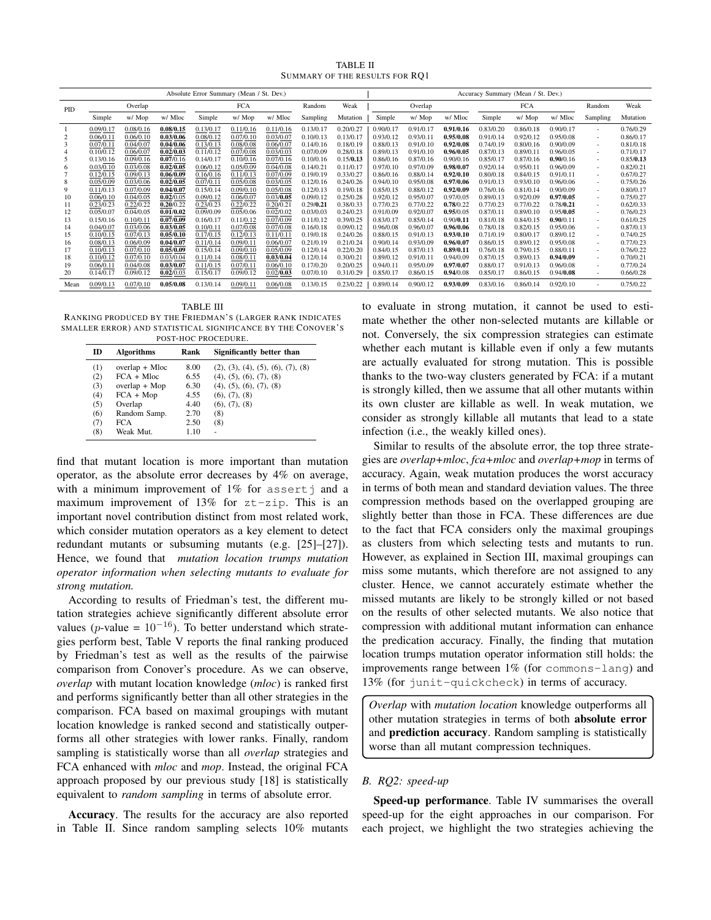TABLE II SUMMARY OF THE RESULTS FOR RQ1

|      | Absolute Error Summary (Mean / St. Dev.) |           |           |           |            |           |           |           | Accuracy Summary (Mean / St. Dev.) |           |           |           |            |           |                          |           |
|------|------------------------------------------|-----------|-----------|-----------|------------|-----------|-----------|-----------|------------------------------------|-----------|-----------|-----------|------------|-----------|--------------------------|-----------|
| PID  |                                          | Overlap   |           |           | <b>FCA</b> |           | Random    | Weak      |                                    | Overlap   |           |           | <b>FCA</b> |           | Random                   | Weak      |
|      | Simple                                   | w/ Mop    | w/ Mloc   | Simple    | w/ Mop     | w/ Mloc   | Sampling  | Mutation  | Simple                             | w/ Mop    | w/ Mloc   | Simple    | w/ Mop     | w/ Mloc   | Sampling                 | Mutation  |
|      | 0.09/0.17                                | 0.08/0.16 | 0.08/0.15 | 0.13/0.17 | 0.11/0.16  | 0.11/0.16 | 0.13/0.17 | 0.20/0.27 | 0.90/0.17                          | 0.91/0.17 | 0.91/0.16 | 0.83/0.20 | 0.86/0.18  | 0.90/0.17 | ٠                        | 0.76/0.29 |
|      | 0.06/0.11                                | 0.06/0.10 | 0.03/0.06 | 0.08/0.12 | 0.07/0.10  | 0.03/0.07 | 0.10/0.13 | 0.13/0.17 | 0.93/0.12                          | 0.93/0.11 | 0.95/0.08 | 0.91/0.14 | 0.92/0.12  | 0.95/0.08 | ٠                        | 0.86/0.17 |
|      | 0.07/0.11                                | 0.04/0.07 | 0.04/0.06 | 0.13/0.13 | 0.08/0.08  | 0.06/0.07 | 0.14/0.16 | 0.18/0.19 | 0.88/0.13                          | 0.91/0.10 | 0.92/0.08 | 0.74/0.19 | 0.80/0.16  | 0.90/0.09 | ٠                        | 0.81/0.18 |
|      | 0.10/0.12                                | 0.06/0.07 | 0.02/0.03 | 0.11/0.12 | 0.07/0.08  | 0.03/0.03 | 0.07/0.09 | 0.28/0.18 | 0.89/0.13                          | 0.91/0.10 | 0.96/0.05 | 0.87/0.13 | 0.89/0.11  | 0.96/0.05 | ٠                        | 0.71/0.17 |
|      | 0.13/0.16                                | 0.09/0.16 | 0.07/0.16 | 0.14/0.17 | 0.10/0.16  | 0.07/0.16 | 0.10/0.16 | 0.15/0.13 | 0.86/0.16                          | 0.87/0.16 | 0.90/0.16 | 0.85/0.17 | 0.87/0.16  | 0.90/0.16 | ٠                        | 0.85/0.13 |
| 6    | 0.03/0.10                                | 0.03/0.08 | 0.02/0.05 | 0.06/0.12 | 0.05/0.09  | 0.04/0.08 | 0.14/0.21 | 0.11/0.17 | 0.97/0.10                          | 0.97/0.09 | 0.98/0.07 | 0.92/0.14 | 0.95/0.11  | 0.96/0.09 | ٠                        | 0.82/0.21 |
|      | 0.12/0.15                                | 0.09/0.13 | 0.06/0.09 | 0.16/0.16 | 0.11/0.13  | 0.07/0.09 | 0.19/0.19 | 0.33/0.27 | 0.86/0.16                          | 0.88/0.14 | 0.92/0.10 | 0.80/0.18 | 0.84/0.15  | 0.91/0.11 | ٠                        | 0.67/0.27 |
| 8    | 0.05/0.09                                | 0.03/0.06 | 0.02/0.05 | 0.07/0.11 | 0.05/0.08  | 0.03/0.05 | 0.12/0.16 | 0.24/0.26 | 0.94/0.10                          | 0.95/0.08 | 0.97/0.06 | 0.91/0.13 | 0.93/0.10  | 0.96/0.06 | ٠                        | 0.75/0.26 |
|      | 0.11/0.13                                | 0.07/0.09 | 0.04/0.07 | 0.15/0.14 | 0.09/0.10  | 0.05/0.08 | 0.12/0.13 | 0.19/0.18 | 0.85/0.15                          | 0.88/0.12 | 0.92/0.09 | 0.76/0.16 | 0.81/0.14  | 0.90/0.09 | ٠                        | 0.80/0.17 |
| 10   | 0.06/0.10                                | 0.04/0.05 | 0.02/0.05 | 0.09/0.12 | 0.06/0.07  | 0.03/0.05 | 0.09/0.12 | 0.25/0.28 | 0.92/0.12                          | 0.95/0.07 | 0.97/0.05 | 0.89/0.13 | 0.92/0.09  | 0.97/0.05 | ٠                        | 0.75/0.27 |
|      | 0.23/0.23                                | 0.22/0.22 | 0.20/0.22 | 0.23/0.23 | 0.22/0.22  | 0.20/0.21 | 0.29/0.21 | 0.38/0.33 | 0.77/0.23                          | 0.77/0.22 | 0.78/0.22 | 0.77/0.23 | 0.77/0.22  | 0.78/0.21 | ٠                        | 0.62/0.33 |
| 12   | 0.05/0.07                                | 0.04/0.05 | 0.01/0.02 | 0.09/0.09 | 0.05/0.06  | 0.02/0.02 | 0.03/0.03 | 0.24/0.23 | 0.91/0.09                          | 0.92/0.07 | 0.95/0.05 | 0.87/0.11 | 0.89/0.10  | 0.95/0.05 | ٠                        | 0.76/0.23 |
| 13   | 0.15/0.16                                | 0.10/0.11 | 0.07/0.09 | 0.16/0.17 | 0.11/0.12  | 0.07/0.09 | 0.11/0.12 | 0.39/0.25 | 0.83/0.17                          | 0.85/0.14 | 0.90/0.11 | 0.81/0.18 | 0.84/0.15  | 0.90/0.11 | $\overline{\phantom{a}}$ | 0.61/0.25 |
| 14   | 0.04/0.07                                | 0.03/0.06 | 0.03/0.05 | 0.10/0.11 | 0.07/0.08  | 0.07/0.08 | 0.16/0.18 | 0.09/0.12 | 0.96/0.08                          | 0.96/0.07 | 0.96/0.06 | 0.78/0.18 | 0.82/0.15  | 0.95/0.06 | ٠                        | 0.87/0.13 |
| 15   | 0.10/0.15                                | 0.07/0.13 | 0.05/0.10 | 0.17/0.15 | 0.12/0.13  | 0.11/0.11 | 0.19/0.18 | 0.24/0.26 | 0.88/0.15                          | 0.91/0.13 | 0.93/0.10 | 0.71/0.19 | 0.80/0.17  | 0.89/0.12 | ٠                        | 0.74/0.25 |
| 16   | 0.08/0.13                                | 0.06/0.09 | 0.04/0.07 | 0.11/0.14 | 0.09/0.11  | 0.06/0.07 | 0.21/0.19 | 0.21/0.24 | 0.90/0.14                          | 0.93/0.09 | 0.96/0.07 | 0.86/0.15 | 0.89/0.12  | 0.95/0.08 | ٠                        | 0.77/0.23 |
| 17   | 0.10/0.13                                | 0.07/0.10 | 0.05/0.09 | 0.15/0.14 | 0.09/0.10  | 0.05/0.09 | 0.12/0.14 | 0.22/0.20 | 0.84/0.15                          | 0.87/0.13 | 0.89/0.11 | 0.76/0.18 | 0.79/0.15  | 0.88/0.11 | ٠                        | 0.76/0.22 |
| 18   | 0.10/0.12                                | 0.07/0.10 | 0.03/0.04 | 0.11/0.14 | 0.08/0.11  | 0.03/0.04 | 0.12/0.14 | 0.30/0.21 | 0.89/0.12                          | 0.91/0.11 | 0.94/0.09 | 0.87/0.15 | 0.89/0.13  | 0.94/0.09 | $\sim$                   | 0.70/0.21 |
| 19   | 0.06/0.11                                | 0.04/0.08 | 0.03/0.07 | 0.11/0.15 | 0.07/0.11  | 0.06/0.10 | 0.17/0.20 | 0.20/0.25 | 0.94/0.11                          | 0.95/0.09 | 0.97/0.07 | 0.88/0.17 | 0.91/0.13  | 0.96/0.08 | ٠                        | 0.77/0.24 |
| 20   | 0.14/0.17                                | 0.09/0.12 | 0.02/0.03 | 0.15/0.17 | 0.09/0.12  | 0.02/0.03 | 0.07/0.10 | 0.31/0.29 | 0.85/0.17                          | 0.86/0.15 | 0.94/0.08 | 0.85/0.17 | 0.86/0.15  | 0.94/0.08 | ٠                        | 0.66/0.28 |
| Mean | 0.09/0.13                                | 0.07/0.10 | 0.05/0.08 | 0.13/0.14 | 0.09/0.11  | 0.06/0.08 | 0.13/0.15 | 0.23/0.22 | 0.89/0.14                          | 0.90/0.12 | 0.93/0.09 | 0.83/0.16 | 0.86/0.14  | 0.92/0.10 | $\overline{\phantom{a}}$ | 0.75/0.22 |

TABLE III RANKING PRODUCED BY THE FRIEDMAN'S (LARGER RANK INDICATES SMALLER ERROR) AND STATISTICAL SIGNIFICANCE BY THE CONOVER'S

|     | POST-HOC PROCEDURE. |      |                                       |  |  |  |  |  |  |  |
|-----|---------------------|------|---------------------------------------|--|--|--|--|--|--|--|
| ID  | <b>Algorithms</b>   | Rank | Significantly better than             |  |  |  |  |  |  |  |
| (1) | $overlap + Mloc$    | 8.00 | (2), (3), (4), (5), (6), (7), (8)     |  |  |  |  |  |  |  |
| (2) | $FCA + Mloc$        | 6.55 | $(4)$ , $(5)$ , $(6)$ , $(7)$ , $(8)$ |  |  |  |  |  |  |  |
| (3) | $overlap + Mop$     | 6.30 | $(4)$ , $(5)$ , $(6)$ , $(7)$ , $(8)$ |  |  |  |  |  |  |  |
| (4) | $FCA + Mop$         | 4.55 | (6), (7), (8)                         |  |  |  |  |  |  |  |
| (5) | Overlap             | 4.40 | (6), (7), (8)                         |  |  |  |  |  |  |  |
| (6) | Random Samp.        | 2.70 | (8)                                   |  |  |  |  |  |  |  |
| (7) | <b>FCA</b>          | 2.50 | (8)                                   |  |  |  |  |  |  |  |
| (8) | Weak Mut.           | 1.10 |                                       |  |  |  |  |  |  |  |

find that mutant location is more important than mutation operator, as the absolute error decreases by 4% on average, with a minimum improvement of  $1\%$  for assertj and a maximum improvement of  $13\%$  for  $zt-zip$ . This is an important novel contribution distinct from most related work, which consider mutation operators as a key element to detect redundant mutants or subsuming mutants (e.g. [25]–[27]). Hence, we found that *mutation location trumps mutation operator information when selecting mutants to evaluate for strong mutation.*

According to results of Friedman's test, the different mutation strategies achieve significantly different absolute error values (p-value =  $10^{-16}$ ). To better understand which strategies perform best, Table V reports the final ranking produced by Friedman's test as well as the results of the pairwise comparison from Conover's procedure. As we can observe, *overlap* with mutant location knowledge (*mloc*) is ranked first and performs significantly better than all other strategies in the comparison. FCA based on maximal groupings with mutant location knowledge is ranked second and statistically outperforms all other strategies with lower ranks. Finally, random sampling is statistically worse than all *overlap* strategies and FCA enhanced with *mloc* and *mop*. Instead, the original FCA approach proposed by our previous study [18] is statistically equivalent to *random sampling* in terms of absolute error.

Accuracy. The results for the accuracy are also reported in Table II. Since random sampling selects 10% mutants to evaluate in strong mutation, it cannot be used to estimate whether the other non-selected mutants are killable or not. Conversely, the six compression strategies can estimate whether each mutant is killable even if only a few mutants are actually evaluated for strong mutation. This is possible thanks to the two-way clusters generated by FCA: if a mutant is strongly killed, then we assume that all other mutants within its own cluster are killable as well. In weak mutation, we consider as strongly killable all mutants that lead to a state infection (i.e., the weakly killed ones).

Similar to results of the absolute error, the top three strategies are *overlap+mloc*, *fca+mloc* and *overlap+mop* in terms of accuracy. Again, weak mutation produces the worst accuracy in terms of both mean and standard deviation values. The three compression methods based on the overlapped grouping are slightly better than those in FCA. These differences are due to the fact that FCA considers only the maximal groupings as clusters from which selecting tests and mutants to run. However, as explained in Section III, maximal groupings can miss some mutants, which therefore are not assigned to any cluster. Hence, we cannot accurately estimate whether the missed mutants are likely to be strongly killed or not based on the results of other selected mutants. We also notice that compression with additional mutant information can enhance the predication accuracy. Finally, the finding that mutation location trumps mutation operator information still holds: the improvements range between 1% (for commons-lang) and 13% (for junit-quickcheck) in terms of accuracy.

*Overlap* with *mutation location* knowledge outperforms all other mutation strategies in terms of both absolute error and prediction accuracy. Random sampling is statistically worse than all mutant compression techniques.

# *B. RQ2: speed-up*

Speed-up performance. Table IV summarises the overall speed-up for the eight approaches in our comparison. For each project, we highlight the two strategies achieving the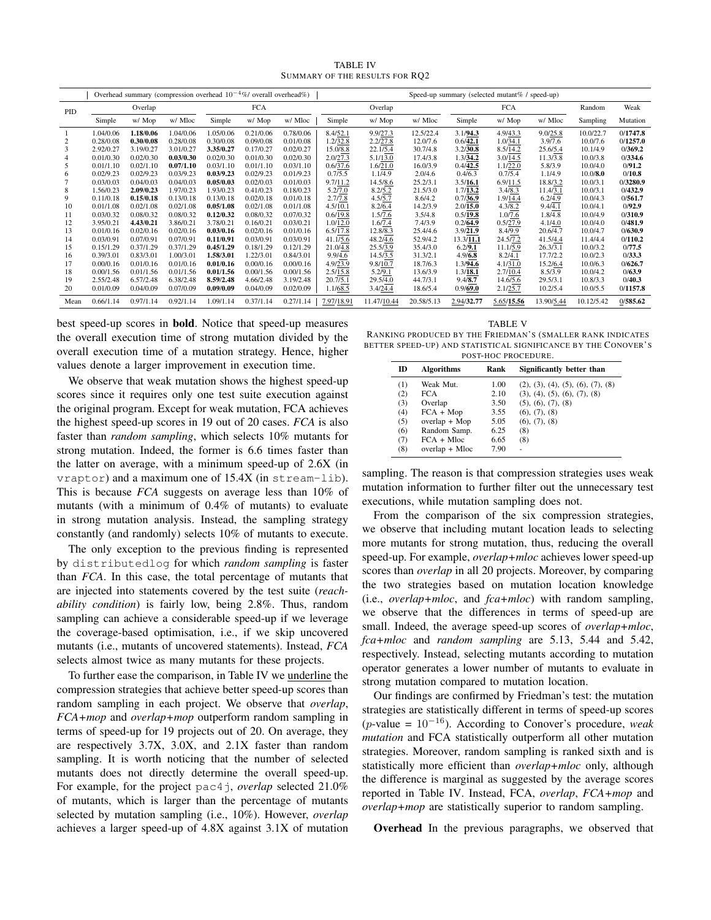TABLE IV SUMMARY OF THE RESULTS FOR RQ2

|      | Overhead summary (compression overhead $10^{-4}$ %/ overall overhead%) |           |           |           |            | Speed-up summary (selected mutant% / speed-up) |            |             |            |            |            |            |            |          |
|------|------------------------------------------------------------------------|-----------|-----------|-----------|------------|------------------------------------------------|------------|-------------|------------|------------|------------|------------|------------|----------|
| PID  |                                                                        | Overlap   |           |           | <b>FCA</b> |                                                |            | Overlap     |            |            | <b>FCA</b> |            |            | Weak     |
|      | Simple                                                                 | w/ Mop    | w/ Mloc   | Simple    | w/ Mop     | w/ Mloc                                        | Simple     | w/ Mop      | w/ Mloc    | Simple     | w/ Mop     | w/ Mloc    | Sampling   | Mutation |
|      | 1.04/0.06                                                              | 1.18/0.06 | 1.04/0.06 | 1.05/0.06 | 0.21/0.06  | 0.78/0.06                                      | 8.4/52.1   | 9.9/27.3    | 12.5/22.4  | 3.1/94.3   | 4.9/43.3   | 9.0/25.8   | 10.0/22.7  | 0/1747.8 |
|      | 0.28/0.08                                                              | 0.30/0.08 | 0.28/0.08 | 0.30/0.08 | 0.09/0.08  | 0.01/0.08                                      | .2/32.8    | 2.2/27.8    | 12.0/7.6   | 0.6/42.1   | 1.0/34.1   | 3.9/7.6    | 10.0/7.6   | 0/1257.0 |
| 3    | 2.92/0.27                                                              | 3.19/0.27 | 3.01/0.27 | 3.35/0.27 | 0.17/0.27  | 0.02/0.27                                      | 15.0/8.8   | 22.1/5.4    | 30.7/4.8   | 3.2/30.8   | 8.5/14.2   | 25.6/5.4   | 10.1/4.9   | 0/369.2  |
| 4    | 0.01/0.30                                                              | 0.02/0.30 | 0.03/0.30 | 0.02/0.30 | 0.01/0.30  | 0.02/0.30                                      | 2.0/27.3   | 5.1/13.0    | 17.4/3.8   | 1.3/34.2   | 3.0/14.5   | 11.3/3.8   | 10.0/3.8   | 0/334.6  |
|      | 0.01/1.10                                                              | 0.02/1.10 | 0.07/1.10 | 0.03/1.10 | 0.01/1.10  | 0.03/1.10                                      | 0.6/37.6   | 1.6/21.0    | 16.0/3.9   | 0.4/42.5   | 1.1/22.0   | 5.8/3.9    | 10.0/4.0   | 0/91.2   |
| 6    | 0.02/9.23                                                              | 0.02/9.23 | 0.03/9.23 | 0.03/9.23 | 0.02/9.23  | 0.01/9.23                                      | 0.7/5.5    | 1.1/4.9     | 2.0/4.6    | 0.4/6.3    | 0.7/5.4    | 1.1/4.9    | 10.0/8.0   | 0/10.8   |
|      | 0.03/0.03                                                              | 0.04/0.03 | 0.04/0.03 | 0.05/0.03 | 0.02/0.03  | 0.01/0.03                                      | 9.7/11.2   | 14.5/8.6    | 25.2/3.1   | 3.5/16.1   | 6.9/11.5   | 18.8/3.2   | 10.0/3.1   | 0/3280.9 |
| 8    | 1.56/0.23                                                              | 2.09/0.23 | 1.97/0.23 | 1.93/0.23 | 0.41/0.23  | 0.18/0.23                                      | 5.2/7.0    | 8.2/5.2     | 21.5/3.0   | 1.7/13.2   | 3.4/8.3    | 11.4/3.1   | 10.0/3.1   | 0/432.9  |
| 9    | 0.11/0.18                                                              | 0.15/0.18 | 0.13/0.18 | 0.13/0.18 | 0.02/0.18  | 0.01/0.18                                      | 2.7/7.8    | 4.5/5.7     | 8.6/4.2    | 0.7/36.9   | 1.9/14.4   | 6.2/4.9    | 10.0/4.3   | 0/561.7  |
| 10   | 0.01/1.08                                                              | 0.02/1.08 | 0.02/1.08 | 0.05/1.08 | 0.02/1.08  | 0.01/1.08                                      | 4.5/10.1   | 8.2/6.4     | 14.2/3.9   | 2.0/15.0   | 4.3/8.2    | 9.4/4.1    | 10.0/4.1   | 0/92.9   |
| 11   | 0.03/0.32                                                              | 0.08/0.32 | 0.08/0.32 | 0.12/0.32 | 0.08/0.32  | 0.07/0.32                                      | 0.6/19.8   | 1.5/7.6     | 3.5/4.8    | 0.5/19.8   | 1.0/7.6    | 1.8/4.8    | 10.0/4.9   | 0/310.9  |
| 12   | 3.95/0.21                                                              | 4.43/0.21 | 3.86/0.21 | 3.78/0.21 | 0.16/0.21  | 0.03/0.21                                      | 1.0/12.0   | 1.6/7.4     | 7.4/3.9    | 0.2/64.9   | 0.5/27.9   | 4.1/4.0    | 10.0/4.0   | 0/481.9  |
| 13   | 0.01/0.16                                                              | 0.02/0.16 | 0.02/0.16 | 0.03/0.16 | 0.02/0.16  | 0.01/0.16                                      | 6.5/17.8   | 12.8/8.3    | 25.4/4.6   | 3.9/21.9   | 8.4/9.9    | 20.6/4.7   | 10.0/4.7   | 0/630.9  |
| 14   | 0.03/0.91                                                              | 0.07/0.91 | 0.07/0.91 | 0.11/0.91 | 0.03/0.91  | 0.03/0.91                                      | 41.1/5.6   | 48.2/4.6    | 52.9/4.2   | 13.3/11.1  | 24.5/7.2   | 41.5/4.4   | 11.4/4.4   | 0/110.2  |
| 15   | 0.15/1.29                                                              | 0.37/1.29 | 0.37/1.29 | 0.45/1.29 | 0.18/1.29  | 0.12/1.29                                      | 21.0/4.8   | 25.5/3.9    | 35.4/3.0   | 6.2/9.1    | 11.1/5.9   | 26.3/3.1   | 10.0/3.2   | 0/77.5   |
| 16   | 0.39/3.01                                                              | 0.83/3.01 | 1.00/3.01 | 1.58/3.01 | 1.22/3.01  | 0.84/3.01                                      | 9.9/4.6    | 14.5/3.5    | 31.3/2.1   | 4.9/6.8    | 8.2/4.1    | 17.7/2.2   | 10.0/2.3   | 0/33.3   |
| 17   | 0.00/0.16                                                              | 0.01/0.16 | 0.01/0.16 | 0.01/0.16 | 0.00/0.16  | 0.00/0.16                                      | 4.9/23.9   | 9.8/10.7    | 18.7/6.3   | 1.3/94.6   | 4.1/31.0   | 15.2/6.4   | 10.0/6.3   | 0/626.7  |
| 18   | 0.00/1.56                                                              | 0.01/1.56 | 0.01/1.56 | 0.01/1.56 | 0.00/1.56  | 0.00/1.56                                      | 2.5/15.8   | 5.2/9.1     | 13.6/3.9   | 1.3/18.1   | 2.7/10.4   | 8.5/3.9    | 10.0/4.2   | 0/63.9   |
| 19   | 2.55/2.48                                                              | 6.57/2.48 | 6.38/2.48 | 8.59/2.48 | 4.66/2.48  | 3.19/2.48                                      | 20.7/5.1   | 29.5/4.0    | 44.7/3.1   | 9.4/8.7    | 14.6/5.6   | 29.5/3.1   | 10.8/3.3   | 0/40.3   |
| 20   | 0.01/0.09                                                              | 0.04/0.09 | 0.07/0.09 | 0.09/0.09 | 0.04/0.09  | 0.02/0.09                                      | 1.1/68.5   | 3.4/24.4    | 18.6/5.4   | 0.9/69.0   | 2.1/25.7   | 10.2/5.4   | 10.0/5.5   | 0/1157.8 |
| Mean | 0.66/1.14                                                              | 0.97/1.14 | 0.92/1.14 | 1.09/1.14 | 0.37/1.14  | 0.27/1.14                                      | 7.97/18.91 | 11.47/10.44 | 20.58/5.13 | 2.94/32.77 | 5.65/15.56 | 13.90/5.44 | 10.12/5.42 | 0/585.62 |

best speed-up scores in bold. Notice that speed-up measures the overall execution time of strong mutation divided by the overall execution time of a mutation strategy. Hence, higher values denote a larger improvement in execution time.

We observe that weak mutation shows the highest speed-up scores since it requires only one test suite execution against the original program. Except for weak mutation, FCA achieves the highest speed-up scores in 19 out of 20 cases. *FCA* is also faster than *random sampling*, which selects 10% mutants for strong mutation. Indeed, the former is 6.6 times faster than the latter on average, with a minimum speed-up of 2.6X (in vraptor) and a maximum one of 15.4X (in stream-lib). This is because *FCA* suggests on average less than 10% of mutants (with a minimum of 0.4% of mutants) to evaluate in strong mutation analysis. Instead, the sampling strategy constantly (and randomly) selects 10% of mutants to execute.

The only exception to the previous finding is represented by distributedlog for which *random sampling* is faster than *FCA*. In this case, the total percentage of mutants that are injected into statements covered by the test suite (*reachability condition*) is fairly low, being 2.8%. Thus, random sampling can achieve a considerable speed-up if we leverage the coverage-based optimisation, i.e., if we skip uncovered mutants (i.e., mutants of uncovered statements). Instead, *FCA* selects almost twice as many mutants for these projects.

To further ease the comparison, in Table IV we underline the compression strategies that achieve better speed-up scores than random sampling in each project. We observe that *overlap*, *FCA+mop* and *overlap+mop* outperform random sampling in terms of speed-up for 19 projects out of 20. On average, they are respectively 3.7X, 3.0X, and 2.1X faster than random sampling. It is worth noticing that the number of selected mutants does not directly determine the overall speed-up. For example, for the project pac4j, *overlap* selected 21.0% of mutants, which is larger than the percentage of mutants selected by mutation sampling (i.e., 10%). However, *overlap* achieves a larger speed-up of 4.8X against 3.1X of mutation

TABLE V RANKING PRODUCED BY THE FRIEDMAN'S (SMALLER RANK INDICATES BETTER SPEED-UP) AND STATISTICAL SIGNIFICANCE BY THE CONOVER'S

| POST-HOC PROCEDURE. |                   |      |                                   |  |  |  |  |  |  |
|---------------------|-------------------|------|-----------------------------------|--|--|--|--|--|--|
| ID                  | <b>Algorithms</b> | Rank | Significantly better than         |  |  |  |  |  |  |
| (1)                 | Weak Mut.         | 1.00 | (2), (3), (4), (5), (6), (7), (8) |  |  |  |  |  |  |
| (2)                 | <b>FCA</b>        | 2.10 | (3), (4), (5), (6), (7), (8)      |  |  |  |  |  |  |
| (3)                 | Overlap           | 3.50 | (5), (6), (7), (8)                |  |  |  |  |  |  |
| (4)                 | $FCA + Mop$       | 3.55 | (6), (7), (8)                     |  |  |  |  |  |  |
| (5)                 | $overlap + Mop$   | 5.05 | (6), (7), (8)                     |  |  |  |  |  |  |
| (6)                 | Random Samp.      | 6.25 | (8)                               |  |  |  |  |  |  |
| (7)                 | $FCA + Mloc$      | 6.65 | (8)                               |  |  |  |  |  |  |
| (8)                 | $overlap + Mloc$  | 7.90 |                                   |  |  |  |  |  |  |

sampling. The reason is that compression strategies uses weak mutation information to further filter out the unnecessary test executions, while mutation sampling does not.

From the comparison of the six compression strategies, we observe that including mutant location leads to selecting more mutants for strong mutation, thus, reducing the overall speed-up. For example, *overlap+mloc* achieves lower speed-up scores than *overlap* in all 20 projects. Moreover, by comparing the two strategies based on mutation location knowledge (i.e., *overlap+mloc*, and *fca+mloc*) with random sampling, we observe that the differences in terms of speed-up are small. Indeed, the average speed-up scores of *overlap+mloc*, *fca+mloc* and *random sampling* are 5.13, 5.44 and 5.42, respectively. Instead, selecting mutants according to mutation operator generates a lower number of mutants to evaluate in strong mutation compared to mutation location.

Our findings are confirmed by Friedman's test: the mutation strategies are statistically different in terms of speed-up scores  $(p$ -value =  $10^{-16}$ ). According to Conover's procedure, *weak mutation* and FCA statistically outperform all other mutation strategies. Moreover, random sampling is ranked sixth and is statistically more efficient than *overlap+mloc* only, although the difference is marginal as suggested by the average scores reported in Table IV. Instead, FCA, *overlap*, *FCA+mop* and *overlap+mop* are statistically superior to random sampling.

Overhead In the previous paragraphs, we observed that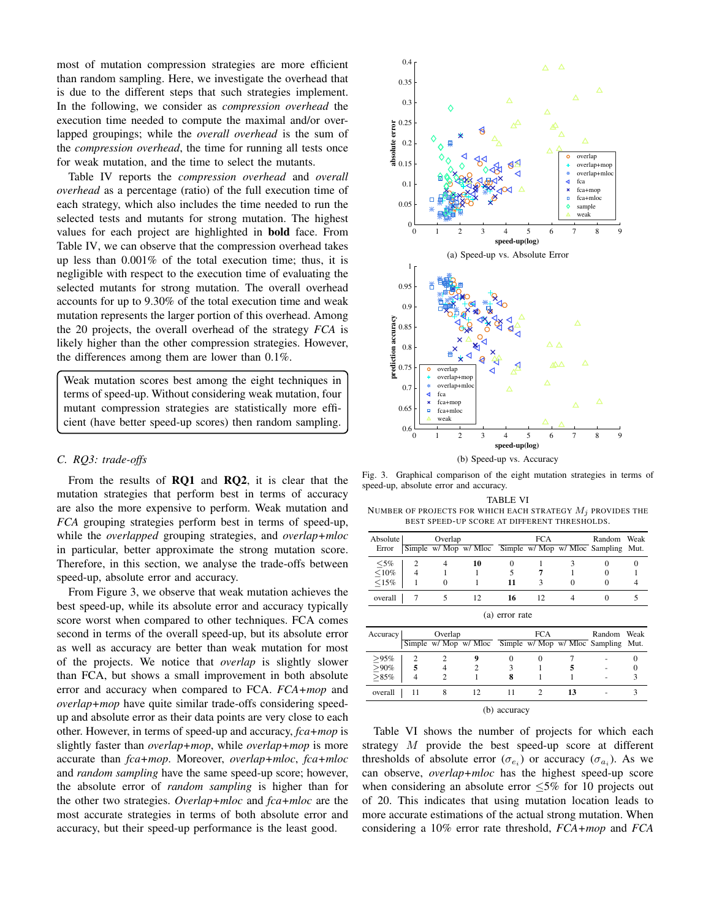most of mutation compression strategies are more efficient than random sampling. Here, we investigate the overhead that is due to the different steps that such strategies implement. In the following, we consider as *compression overhead* the execution time needed to compute the maximal and/or overlapped groupings; while the *overall overhead* is the sum of the *compression overhead*, the time for running all tests once for weak mutation, and the time to select the mutants.

Table IV reports the *compression overhead* and *overall overhead* as a percentage (ratio) of the full execution time of each strategy, which also includes the time needed to run the selected tests and mutants for strong mutation. The highest values for each project are highlighted in bold face. From Table IV, we can observe that the compression overhead takes up less than 0.001% of the total execution time; thus, it is negligible with respect to the execution time of evaluating the selected mutants for strong mutation. The overall overhead accounts for up to 9.30% of the total execution time and weak mutation represents the larger portion of this overhead. Among the 20 projects, the overall overhead of the strategy *FCA* is likely higher than the other compression strategies. However, the differences among them are lower than 0.1%.

Weak mutation scores best among the eight techniques in terms of speed-up. Without considering weak mutation, four mutant compression strategies are statistically more efficient (have better speed-up scores) then random sampling.

# *C. RQ3: trade-offs*

From the results of RQ1 and RQ2, it is clear that the mutation strategies that perform best in terms of accuracy are also the more expensive to perform. Weak mutation and *FCA* grouping strategies perform best in terms of speed-up, while the *overlapped* grouping strategies, and *overlap+mloc* in particular, better approximate the strong mutation score. Therefore, in this section, we analyse the trade-offs between speed-up, absolute error and accuracy.

From Figure 3, we observe that weak mutation achieves the best speed-up, while its absolute error and accuracy typically score worst when compared to other techniques. FCA comes second in terms of the overall speed-up, but its absolute error as well as accuracy are better than weak mutation for most of the projects. We notice that *overlap* is slightly slower than FCA, but shows a small improvement in both absolute error and accuracy when compared to FCA. *FCA+mop* and *overlap+mop* have quite similar trade-offs considering speedup and absolute error as their data points are very close to each other. However, in terms of speed-up and accuracy, *fca+mop* is slightly faster than *overlap+mop*, while *overlap+mop* is more accurate than *fca+mop*. Moreover, *overlap+mloc*, *fca+mloc* and *random sampling* have the same speed-up score; however, the absolute error of *random sampling* is higher than for the other two strategies. *Overlap+mloc* and *fca+mloc* are the most accurate strategies in terms of both absolute error and accuracy, but their speed-up performance is the least good.



Fig. 3. Graphical comparison of the eight mutation strategies in terms of speed-up, absolute error and accuracy.

TABLE VI NUMBER OF PROJECTS FOR WHICH EACH STRATEGY  $M_i$  provides the BEST SPEED-UP SCORE AT DIFFERENT THRESHOLDS.

| Absolute  <br>Error        |                                       | Overlap                               | Simple w/ Mop w/ Mloc |                    | <b>FCA</b>     |                | Random<br>Simple w/ Mop w/ Mloc Sampling | Weak<br>Mut.       |  |  |  |
|----------------------------|---------------------------------------|---------------------------------------|-----------------------|--------------------|----------------|----------------|------------------------------------------|--------------------|--|--|--|
| $<$ 5%<br>$<$ 10%<br>< 15% | $\overline{2}$<br>$\overline{4}$      | 4<br>0                                | 10                    | 0<br>5<br>11       | 7<br>3         | 3              | 0<br>$\Omega$<br>0                       | 0                  |  |  |  |
| overall                    | 7                                     | 5                                     | 12                    | 16                 | 12             | $\overline{4}$ | $\theta$                                 | 5                  |  |  |  |
|                            | (a) error rate                        |                                       |                       |                    |                |                |                                          |                    |  |  |  |
| Accuracy                   |                                       | Overlap                               | Simple w/ Mop w/ Mloc |                    | <b>FCA</b>     |                | Random<br>Simple w/ Mop w/ Mloc Sampling | Weak<br>Mut.       |  |  |  |
| >95%<br>$>90\%$<br>>85%    | $\overline{c}$<br>5<br>$\overline{4}$ | $\mathfrak{D}$<br>4<br>$\mathfrak{D}$ | 9<br>2                | $\Omega$<br>3<br>8 | 0              | 5              |                                          | $\Omega$<br>0<br>3 |  |  |  |
| overall                    | 11                                    | 8                                     | 12                    | 11                 | $\overline{c}$ | 13             |                                          | 3                  |  |  |  |

(b) accuracy

Table VI shows the number of projects for which each strategy M provide the best speed-up score at different thresholds of absolute error ( $\sigma_{e_i}$ ) or accuracy ( $\sigma_{a_i}$ ). As we can observe, *overlap+mloc* has the highest speed-up score when considering an absolute error  $\leq 5\%$  for 10 projects out of 20. This indicates that using mutation location leads to more accurate estimations of the actual strong mutation. When considering a 10% error rate threshold, *FCA+mop* and *FCA*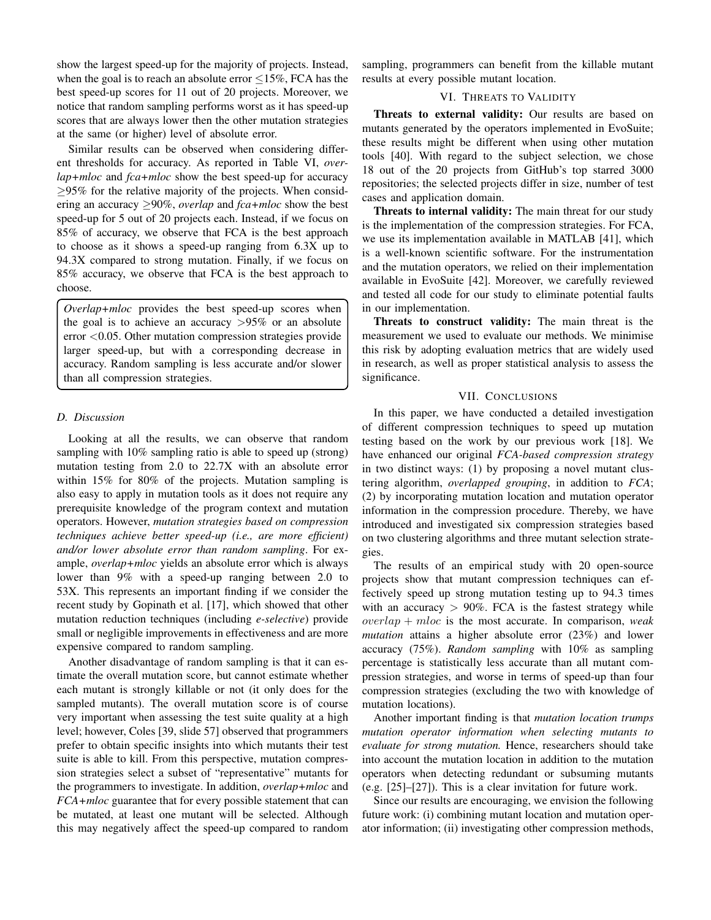show the largest speed-up for the majority of projects. Instead, when the goal is to reach an absolute error  $\leq$ 15%, FCA has the best speed-up scores for 11 out of 20 projects. Moreover, we notice that random sampling performs worst as it has speed-up scores that are always lower then the other mutation strategies at the same (or higher) level of absolute error.

Similar results can be observed when considering different thresholds for accuracy. As reported in Table VI, *overlap+mloc* and *fca+mloc* show the best speed-up for accuracy  $\geq$ 95% for the relative majority of the projects. When considering an accuracy ≥90%, *overlap* and *fca+mloc* show the best speed-up for 5 out of 20 projects each. Instead, if we focus on 85% of accuracy, we observe that FCA is the best approach to choose as it shows a speed-up ranging from 6.3X up to 94.3X compared to strong mutation. Finally, if we focus on 85% accuracy, we observe that FCA is the best approach to choose.

*Overlap+mloc* provides the best speed-up scores when the goal is to achieve an accuracy  $>95\%$  or an absolute error <0.05. Other mutation compression strategies provide larger speed-up, but with a corresponding decrease in accuracy. Random sampling is less accurate and/or slower than all compression strategies.

# *D. Discussion*

Looking at all the results, we can observe that random sampling with 10% sampling ratio is able to speed up (strong) mutation testing from 2.0 to 22.7X with an absolute error within 15% for 80% of the projects. Mutation sampling is also easy to apply in mutation tools as it does not require any prerequisite knowledge of the program context and mutation operators. However, *mutation strategies based on compression techniques achieve better speed-up (i.e., are more efficient) and/or lower absolute error than random sampling*. For example, *overlap+mloc* yields an absolute error which is always lower than 9% with a speed-up ranging between 2.0 to 53X. This represents an important finding if we consider the recent study by Gopinath et al. [17], which showed that other mutation reduction techniques (including *e-selective*) provide small or negligible improvements in effectiveness and are more expensive compared to random sampling.

Another disadvantage of random sampling is that it can estimate the overall mutation score, but cannot estimate whether each mutant is strongly killable or not (it only does for the sampled mutants). The overall mutation score is of course very important when assessing the test suite quality at a high level; however, Coles [39, slide 57] observed that programmers prefer to obtain specific insights into which mutants their test suite is able to kill. From this perspective, mutation compression strategies select a subset of "representative" mutants for the programmers to investigate. In addition, *overlap+mloc* and *FCA+mloc* guarantee that for every possible statement that can be mutated, at least one mutant will be selected. Although this may negatively affect the speed-up compared to random

sampling, programmers can benefit from the killable mutant results at every possible mutant location.

## VI. THREATS TO VALIDITY

Threats to external validity: Our results are based on mutants generated by the operators implemented in EvoSuite; these results might be different when using other mutation tools [40]. With regard to the subject selection, we chose 18 out of the 20 projects from GitHub's top starred 3000 repositories; the selected projects differ in size, number of test cases and application domain.

Threats to internal validity: The main threat for our study is the implementation of the compression strategies. For FCA, we use its implementation available in MATLAB [41], which is a well-known scientific software. For the instrumentation and the mutation operators, we relied on their implementation available in EvoSuite [42]. Moreover, we carefully reviewed and tested all code for our study to eliminate potential faults in our implementation.

Threats to construct validity: The main threat is the measurement we used to evaluate our methods. We minimise this risk by adopting evaluation metrics that are widely used in research, as well as proper statistical analysis to assess the significance.

# VII. CONCLUSIONS

In this paper, we have conducted a detailed investigation of different compression techniques to speed up mutation testing based on the work by our previous work [18]. We have enhanced our original *FCA-based compression strategy* in two distinct ways: (1) by proposing a novel mutant clustering algorithm, *overlapped grouping*, in addition to *FCA*; (2) by incorporating mutation location and mutation operator information in the compression procedure. Thereby, we have introduced and investigated six compression strategies based on two clustering algorithms and three mutant selection strategies.

The results of an empirical study with 20 open-source projects show that mutant compression techniques can effectively speed up strong mutation testing up to 94.3 times with an accuracy  $> 90\%$ . FCA is the fastest strategy while overlap + mloc is the most accurate. In comparison, *weak mutation* attains a higher absolute error (23%) and lower accuracy (75%). *Random sampling* with 10% as sampling percentage is statistically less accurate than all mutant compression strategies, and worse in terms of speed-up than four compression strategies (excluding the two with knowledge of mutation locations).

Another important finding is that *mutation location trumps mutation operator information when selecting mutants to evaluate for strong mutation.* Hence, researchers should take into account the mutation location in addition to the mutation operators when detecting redundant or subsuming mutants (e.g. [25]–[27]). This is a clear invitation for future work.

Since our results are encouraging, we envision the following future work: (i) combining mutant location and mutation operator information; (ii) investigating other compression methods,